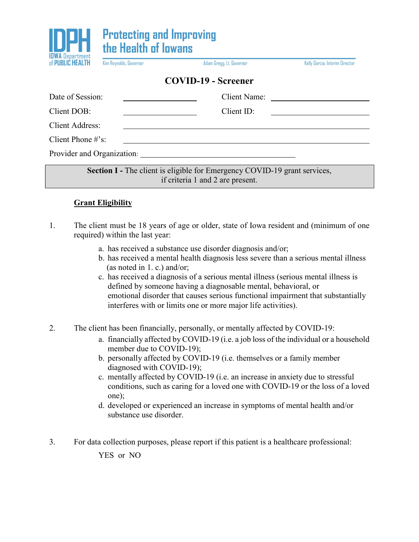

Kim Reynolds, Governor

Adam Gregg, Lt. Governor

Kelly Garcia, Interim Director

## **COVID-19 - Screener**

| Date of Session:           | Client Name:<br><u> 1980 - Jan Samuel Barbara, político e a filosofono de la filosofono de la filosofono de la filosofono de la f</u> |  |  |  |
|----------------------------|---------------------------------------------------------------------------------------------------------------------------------------|--|--|--|
| Client DOB:                | ClientID:                                                                                                                             |  |  |  |
| Client Address:            |                                                                                                                                       |  |  |  |
| Client Phone $\#$ 's:      |                                                                                                                                       |  |  |  |
| Provider and Organization: |                                                                                                                                       |  |  |  |

**Section I** - The client is eligible for Emergency COVID-19 grant services, if criteria 1 and 2 are present.

## **Grant Eligibility**

- 1. The client must be 18 years of age or older, state of Iowa resident and (minimum of one required) within the last year:
	- a. has received a substance use disorder diagnosis and/or;
	- b. has received a mental health diagnosis less severe than a serious mental illness (as noted in 1. c.) and/or;
	- c. has received a diagnosis of a serious mental illness (serious mental illness is defined by someone having a diagnosable mental, behavioral, or emotional disorder that causes serious functional impairment that substantially interferes with or limits one or more major life activities).

2. The client has been financially, personally, or mentally affected by COVID-19:

- a. financially affected by COVID-19 (i.e. a job loss of the individual or a household member due to COVID-19);
- b. personally affected by COVID-19 (i.e. themselves or a family member diagnosed with COVID-19);
- c. mentally affected by COVID-19 (i.e. an increase in anxiety due to stressful conditions, such as caring for a loved one with COVID-19 or the loss of a loved one);
- d. developed or experienced an increase in symptoms of mental health and/or substance use disorder.
- 3. For data collection purposes, please report if this patient is a healthcare professional: YES or NO